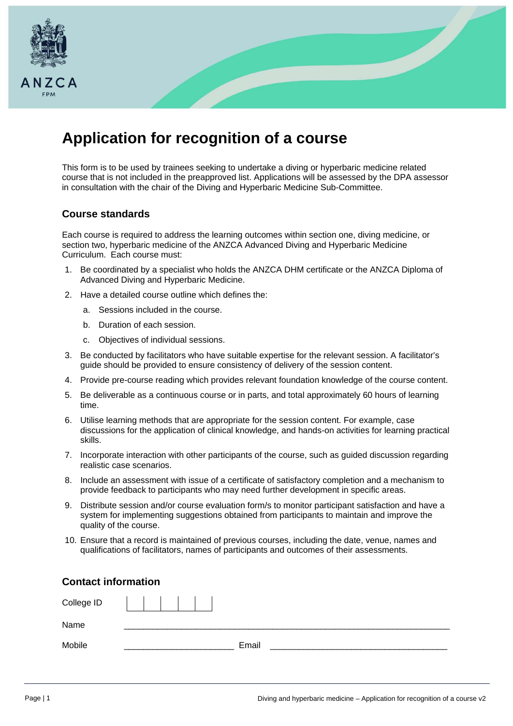

## **Application for recognition of a course**

This form is to be used by trainees seeking to undertake a diving or hyperbaric medicine related course that is not included in the preapproved list. Applications will be assessed by the DPA assessor in consultation with the chair of the Diving and Hyperbaric Medicine Sub-Committee.

## **Course standards**

Each course is required to address the learning outcomes within section one, diving medicine, or section two, hyperbaric medicine of the ANZCA Advanced Diving and Hyperbaric Medicine Curriculum. Each course must:

- 1. Be coordinated by a specialist who holds the ANZCA DHM certificate or the ANZCA Diploma of Advanced Diving and Hyperbaric Medicine.
- 2. Have a detailed course outline which defines the:
	- a. Sessions included in the course.
	- b. Duration of each session.
	- c. Objectives of individual sessions.
- 3. Be conducted by facilitators who have suitable expertise for the relevant session. A facilitator's guide should be provided to ensure consistency of delivery of the session content.
- 4. Provide pre-course reading which provides relevant foundation knowledge of the course content.
- 5. Be deliverable as a continuous course or in parts, and total approximately 60 hours of learning time.
- 6. Utilise learning methods that are appropriate for the session content. For example, case discussions for the application of clinical knowledge, and hands-on activities for learning practical skills.
- 7. Incorporate interaction with other participants of the course, such as guided discussion regarding realistic case scenarios.
- 8. Include an assessment with issue of a certificate of satisfactory completion and a mechanism to provide feedback to participants who may need further development in specific areas.
- 9. Distribute session and/or course evaluation form/s to monitor participant satisfaction and have a system for implementing suggestions obtained from participants to maintain and improve the quality of the course.
- 10. Ensure that a record is maintained of previous courses, including the date, venue, names and qualifications of facilitators, names of participants and outcomes of their assessments.

| <b>Contact information</b> |       |  |  |
|----------------------------|-------|--|--|
| College ID                 |       |  |  |
| Name                       |       |  |  |
| Mobile                     | Email |  |  |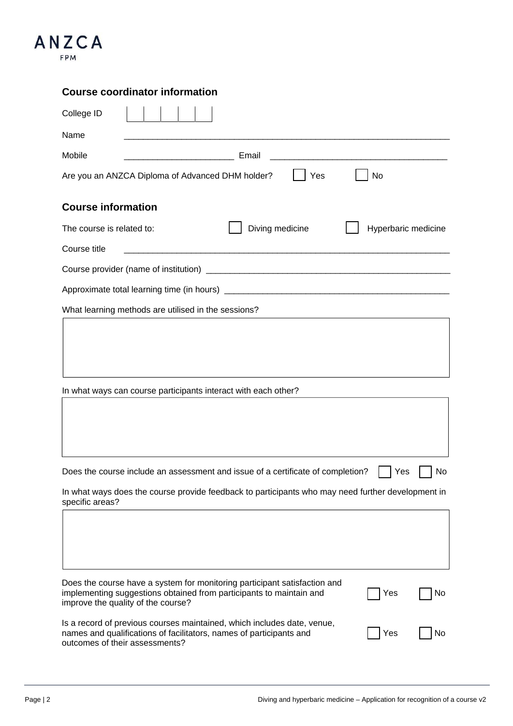

## **Course coordinator information**

| College ID                                                                                                                                                                             |                     |    |  |
|----------------------------------------------------------------------------------------------------------------------------------------------------------------------------------------|---------------------|----|--|
| Name                                                                                                                                                                                   |                     |    |  |
| Mobile<br>Email<br><u> 1980 - Jan James James Barnett, fransk politik (d. 1980)</u><br><u> 1980 - Jan James James Barnett, fransk politik (d. 1980)</u>                                |                     |    |  |
| Are you an ANZCA Diploma of Advanced DHM holder?<br>Yes                                                                                                                                | No                  |    |  |
| <b>Course information</b>                                                                                                                                                              |                     |    |  |
| Diving medicine<br>The course is related to:                                                                                                                                           | Hyperbaric medicine |    |  |
| Course title<br><u> 1980 - Jan James James Barnett, fransk politik (d. 1980)</u>                                                                                                       |                     |    |  |
|                                                                                                                                                                                        |                     |    |  |
|                                                                                                                                                                                        |                     |    |  |
| What learning methods are utilised in the sessions?                                                                                                                                    |                     |    |  |
| In what ways can course participants interact with each other?                                                                                                                         |                     |    |  |
| Does the course include an assessment and issue of a certificate of completion?                                                                                                        | Yes                 | No |  |
| In what ways does the course provide feedback to participants who may need further development in<br>specific areas?                                                                   |                     |    |  |
| Does the course have a system for monitoring participant satisfaction and<br>implementing suggestions obtained from participants to maintain and<br>improve the quality of the course? | Yes                 | No |  |
| Is a record of previous courses maintained, which includes date, venue,<br>names and qualifications of facilitators, names of participants and<br>outcomes of their assessments?       | Yes                 | No |  |